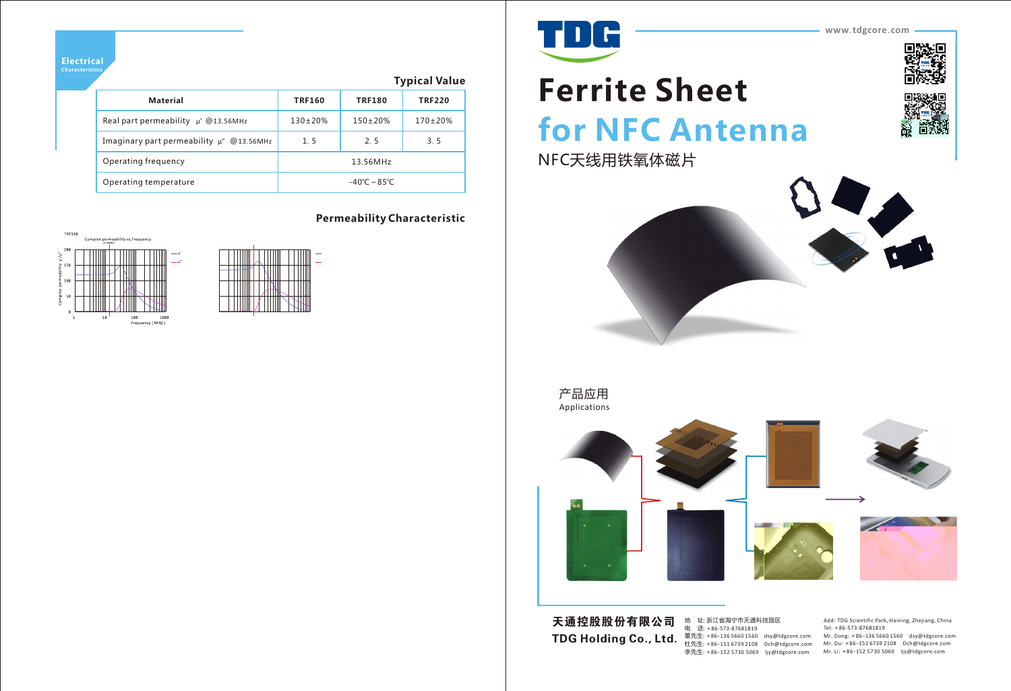



地 址: 浙江省海宁市天通科技园区 电 话: +86-573-87681819 董先生: +86-136 5660 1560 dsy@tdgcore.com 李先生: +86-152 5730 5069 ljy@tdgcore.com

 $\textbf{TDG Holding Co., Ltd.} \textcolor{red}{\bar{\textbf{m}}}^{\textbf{\underline{m}}}$   $\textcolor{red}{\bar{\textbf{m}}}^{\textbf{\underline{m}}}$   $\textcolor{red}{\bar{\textbf{m}}}^{\textbf{\underline{m}}}$   $\textcolor{red}{\bar{\textbf{m}}}^{\textbf{\underline{m}}}$   $\textcolor{red}{\bar{\textbf{m}}}^{\textbf{\underline{m}}}$   $\textcolor{red}{\bar{\textbf{m}}}^{\textbf{\underline{m}}}$   $\textcolor{red}{\bar{\textbf{m}}}^{\textbf{\underline{m}}}$   $\textcolor{red}{\bar{\textbf{m}}}^{\textbf{\underline{m}}}$  天通控股股份有限公司

Add: TDG Scientific Park, Haining, Zhejiang, China Tel: +86-573-87681819 Mr. Dong: +86-136 5660 1560 dsy@tdgcore.com Mr. Du: +86-151 6739 2108 Dch@tdgcore.com Mr. Li: +86-152 5730 5069 ljy@tdgcore.com







产品应用 Applications

#### **Permeability Characteristic**





**Electrical** 

## **Typical Value**

| <b>Material</b>                               | <b>TRF160</b>           | <b>TRF180</b>  | <b>TRF220</b>  |
|-----------------------------------------------|-------------------------|----------------|----------------|
| Real part permeability $\mu'$ @13.56MHz       | $130 \pm 20\%$          | $150 \pm 20\%$ | $170 \pm 20\%$ |
| Imaginary part permeability $\mu$ " @13.56MHz | 1.5                     | 2.5            | 3.5            |
| Operating frequency                           | 13.56MHz                |                |                |
| Operating temperature                         | $-40^{\circ}$ C ~ 85°C. |                |                |